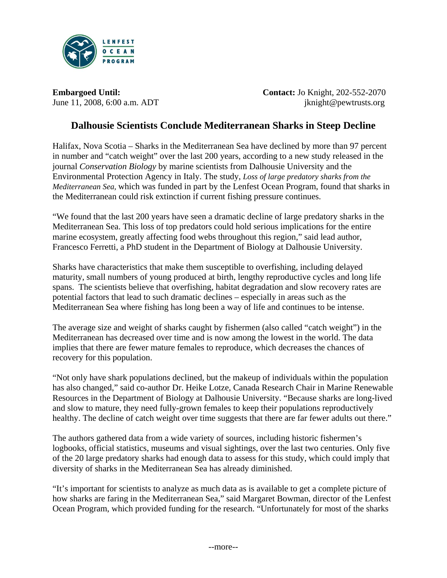

**Embargoed Until: Contact:** Jo Knight, 202-552-2070 June 11, 2008, 6:00 a.m. ADT jknight@pewtrusts.org

# **Dalhousie Scientists Conclude Mediterranean Sharks in Steep Decline**

Halifax, Nova Scotia – Sharks in the Mediterranean Sea have declined by more than 97 percent in number and "catch weight" over the last 200 years, according to a new study released in the journal *Conservation Biology* by marine scientists from Dalhousie University and the Environmental Protection Agency in Italy. The study, *Loss of large predatory sharks from the Mediterranean Sea,* which was funded in part by the Lenfest Ocean Program, found that sharks in the Mediterranean could risk extinction if current fishing pressure continues.

"We found that the last 200 years have seen a dramatic decline of large predatory sharks in the Mediterranean Sea. This loss of top predators could hold serious implications for the entire marine ecosystem, greatly affecting food webs throughout this region," said lead author, Francesco Ferretti, a PhD student in the Department of Biology at Dalhousie University.

Sharks have characteristics that make them susceptible to overfishing, including delayed maturity, small numbers of young produced at birth, lengthy reproductive cycles and long life spans. The scientists believe that overfishing, habitat degradation and slow recovery rates are potential factors that lead to such dramatic declines – especially in areas such as the Mediterranean Sea where fishing has long been a way of life and continues to be intense.

The average size and weight of sharks caught by fishermen (also called "catch weight") in the Mediterranean has decreased over time and is now among the lowest in the world. The data implies that there are fewer mature females to reproduce, which decreases the chances of recovery for this population.

"Not only have shark populations declined, but the makeup of individuals within the population has also changed," said co-author Dr. Heike Lotze, Canada Research Chair in Marine Renewable Resources in the Department of Biology at Dalhousie University. "Because sharks are long-lived and slow to mature, they need fully-grown females to keep their populations reproductively healthy. The decline of catch weight over time suggests that there are far fewer adults out there."

The authors gathered data from a wide variety of sources, including historic fishermen's logbooks, official statistics, museums and visual sightings, over the last two centuries. Only five of the 20 large predatory sharks had enough data to assess for this study, which could imply that diversity of sharks in the Mediterranean Sea has already diminished.

"It's important for scientists to analyze as much data as is available to get a complete picture of how sharks are faring in the Mediterranean Sea," said Margaret Bowman, director of the Lenfest Ocean Program, which provided funding for the research. "Unfortunately for most of the sharks